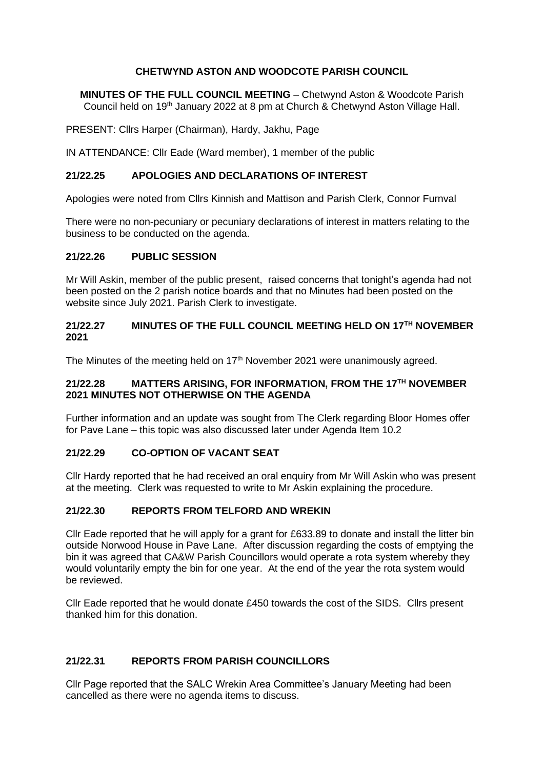### **CHETWYND ASTON AND WOODCOTE PARISH COUNCIL**

**MINUTES OF THE FULL COUNCIL MEETING** – Chetwynd Aston & Woodcote Parish Council held on 19th January 2022 at 8 pm at Church & Chetwynd Aston Village Hall.

PRESENT: Cllrs Harper (Chairman), Hardy, Jakhu, Page

IN ATTENDANCE: Cllr Eade (Ward member), 1 member of the public

### **21/22.25 APOLOGIES AND DECLARATIONS OF INTEREST**

Apologies were noted from Cllrs Kinnish and Mattison and Parish Clerk, Connor Furnval

There were no non-pecuniary or pecuniary declarations of interest in matters relating to the business to be conducted on the agenda.

#### **21/22.26 PUBLIC SESSION**

Mr Will Askin, member of the public present, raised concerns that tonight's agenda had not been posted on the 2 parish notice boards and that no Minutes had been posted on the website since July 2021. Parish Clerk to investigate.

### **21/22.27 MINUTES OF THE FULL COUNCIL MEETING HELD ON 17TH NOVEMBER 2021**

The Minutes of the meeting held on 17<sup>th</sup> November 2021 were unanimously agreed.

### **21/22.28 MATTERS ARISING, FOR INFORMATION, FROM THE 17TH NOVEMBER 2021 MINUTES NOT OTHERWISE ON THE AGENDA**

Further information and an update was sought from The Clerk regarding Bloor Homes offer for Pave Lane – this topic was also discussed later under Agenda Item 10.2

### **21/22.29 CO-OPTION OF VACANT SEAT**

Cllr Hardy reported that he had received an oral enquiry from Mr Will Askin who was present at the meeting. Clerk was requested to write to Mr Askin explaining the procedure.

### **21/22.30 REPORTS FROM TELFORD AND WREKIN**

Cllr Eade reported that he will apply for a grant for £633.89 to donate and install the litter bin outside Norwood House in Pave Lane. After discussion regarding the costs of emptying the bin it was agreed that CA&W Parish Councillors would operate a rota system whereby they would voluntarily empty the bin for one year. At the end of the year the rota system would be reviewed.

Cllr Eade reported that he would donate £450 towards the cost of the SIDS. Cllrs present thanked him for this donation.

### **21/22.31 REPORTS FROM PARISH COUNCILLORS**

Cllr Page reported that the SALC Wrekin Area Committee's January Meeting had been cancelled as there were no agenda items to discuss.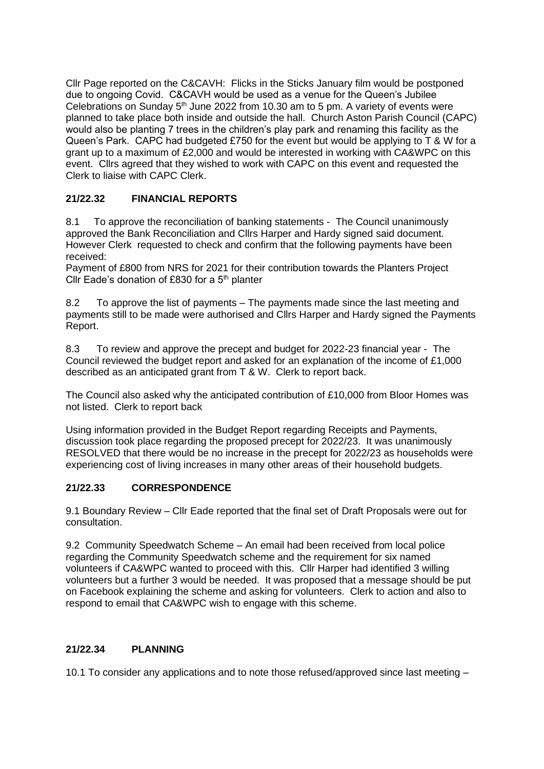Cllr Page reported on the C&CAVH: Flicks in the Sticks January film would be postponed due to ongoing Covid. C&CAVH would be used as a venue for the Queen's Jubilee Celebrations on Sunday  $5<sup>th</sup>$  June 2022 from 10.30 am to 5 pm. A variety of events were planned to take place both inside and outside the hall. Church Aston Parish Council (CAPC) would also be planting 7 trees in the children's play park and renaming this facility as the Queen's Park. CAPC had budgeted £750 for the event but would be applying to T & W for a grant up to a maximum of £2,000 and would be interested in working with CA&WPC on this event. Cllrs agreed that they wished to work with CAPC on this event and requested the Clerk to liaise with CAPC Clerk.

# **21/22.32 FINANCIAL REPORTS**

8.1 To approve the reconciliation of banking statements - The Council unanimously approved the Bank Reconciliation and Cllrs Harper and Hardy signed said document. However Clerk requested to check and confirm that the following payments have been received:

Payment of £800 from NRS for 2021 for their contribution towards the Planters Project Cllr Eade's donation of £830 for a  $5<sup>th</sup>$  planter

8.2 To approve the list of payments – The payments made since the last meeting and payments still to be made were authorised and Cllrs Harper and Hardy signed the Payments Report.

8.3 To review and approve the precept and budget for 2022-23 financial year - The Council reviewed the budget report and asked for an explanation of the income of £1,000 described as an anticipated grant from T & W. Clerk to report back.

The Council also asked why the anticipated contribution of £10,000 from Bloor Homes was not listed. Clerk to report back

Using information provided in the Budget Report regarding Receipts and Payments, discussion took place regarding the proposed precept for 2022/23. It was unanimously RESOLVED that there would be no increase in the precept for 2022/23 as households were experiencing cost of living increases in many other areas of their household budgets.

# **21/22.33 CORRESPONDENCE**

9.1 Boundary Review – Cllr Eade reported that the final set of Draft Proposals were out for consultation.

9.2 Community Speedwatch Scheme – An email had been received from local police regarding the Community Speedwatch scheme and the requirement for six named volunteers if CA&WPC wanted to proceed with this. Cllr Harper had identified 3 willing volunteers but a further 3 would be needed. It was proposed that a message should be put on Facebook explaining the scheme and asking for volunteers. Clerk to action and also to respond to email that CA&WPC wish to engage with this scheme.

# **21/22.34 PLANNING**

10.1 To consider any applications and to note those refused/approved since last meeting –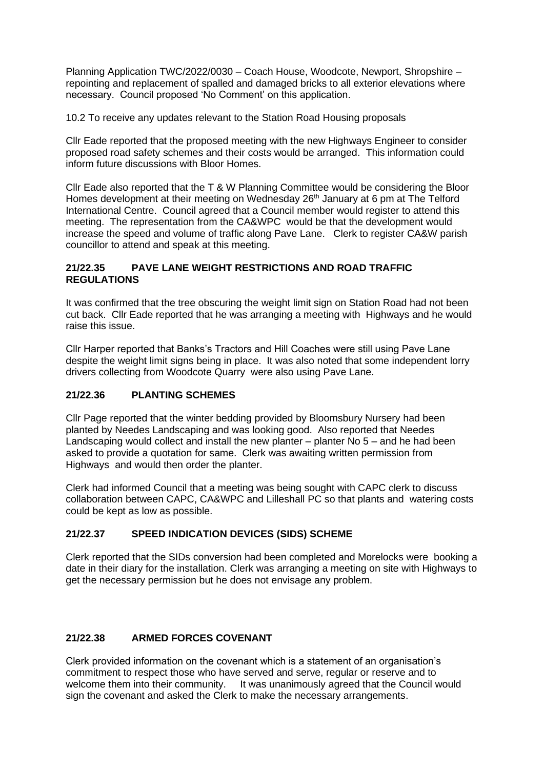Planning Application TWC/2022/0030 – Coach House, Woodcote, Newport, Shropshire – repointing and replacement of spalled and damaged bricks to all exterior elevations where necessary. Council proposed 'No Comment' on this application.

10.2 To receive any updates relevant to the Station Road Housing proposals

Cllr Eade reported that the proposed meeting with the new Highways Engineer to consider proposed road safety schemes and their costs would be arranged. This information could inform future discussions with Bloor Homes.

Cllr Eade also reported that the T & W Planning Committee would be considering the Bloor Homes development at their meeting on Wednesday 26<sup>th</sup> January at 6 pm at The Telford International Centre. Council agreed that a Council member would register to attend this meeting. The representation from the CA&WPC would be that the development would increase the speed and volume of traffic along Pave Lane. Clerk to register CA&W parish councillor to attend and speak at this meeting.

## **21/22.35 PAVE LANE WEIGHT RESTRICTIONS AND ROAD TRAFFIC REGULATIONS**

It was confirmed that the tree obscuring the weight limit sign on Station Road had not been cut back. Cllr Eade reported that he was arranging a meeting with Highways and he would raise this issue.

Cllr Harper reported that Banks's Tractors and Hill Coaches were still using Pave Lane despite the weight limit signs being in place. It was also noted that some independent lorry drivers collecting from Woodcote Quarry were also using Pave Lane.

# **21/22.36 PLANTING SCHEMES**

Cllr Page reported that the winter bedding provided by Bloomsbury Nursery had been planted by Needes Landscaping and was looking good. Also reported that Needes Landscaping would collect and install the new planter – planter No 5 – and he had been asked to provide a quotation for same. Clerk was awaiting written permission from Highways and would then order the planter.

Clerk had informed Council that a meeting was being sought with CAPC clerk to discuss collaboration between CAPC, CA&WPC and Lilleshall PC so that plants and watering costs could be kept as low as possible.

# **21/22.37 SPEED INDICATION DEVICES (SIDS) SCHEME**

Clerk reported that the SIDs conversion had been completed and Morelocks were booking a date in their diary for the installation. Clerk was arranging a meeting on site with Highways to get the necessary permission but he does not envisage any problem.

# **21/22.38 ARMED FORCES COVENANT**

Clerk provided information on the covenant which is a statement of an organisation's commitment to respect those who have served and serve, regular or reserve and to welcome them into their community. It was unanimously agreed that the Council would sign the covenant and asked the Clerk to make the necessary arrangements.